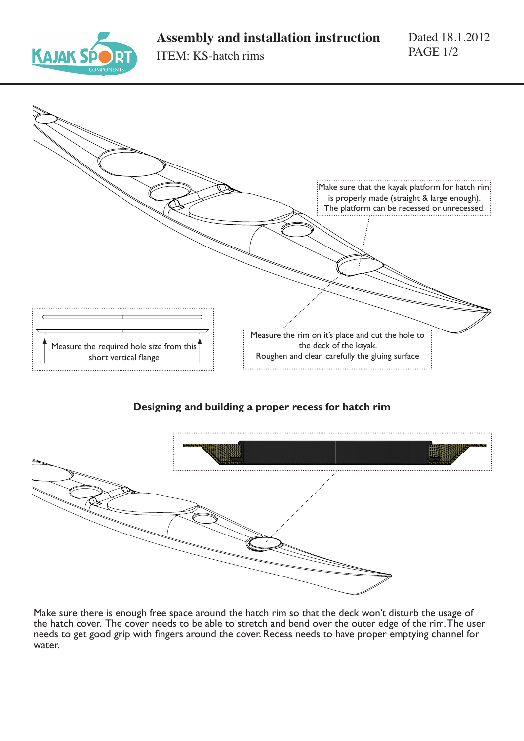



## **Designing and building a proper recess for hatch rim**



Make sure there is enough free space around the hatch rim so that the deck won't disturb the usage of the hatch cover. The cover needs to be able to stretch and bend over the outer edge of the rim. The user needs to get good grip with fingers around the cover. Recess needs to have proper emptying channel for water.